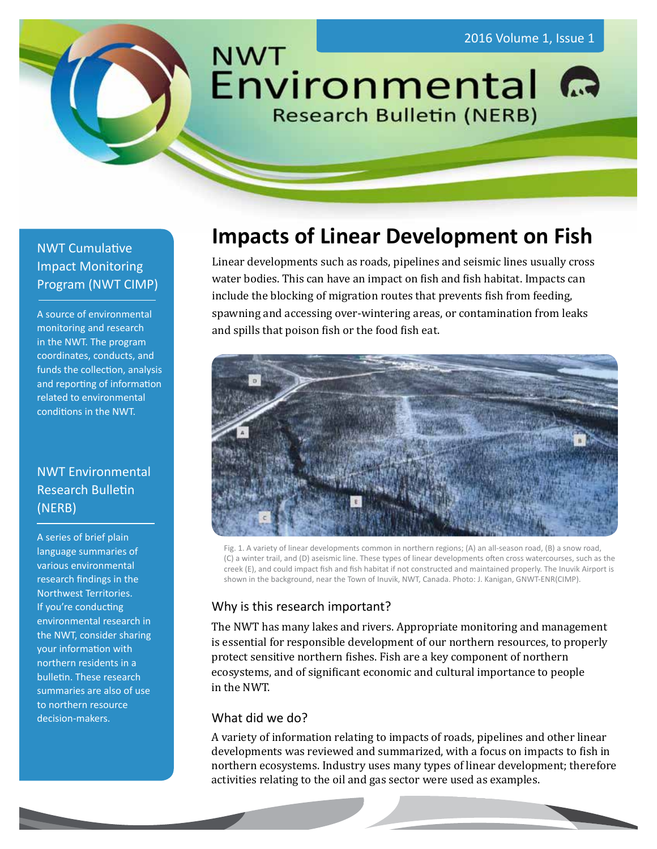

# NWT Cumulative Impact Monitoring Program (NWT CIMP)

A source of environmental monitoring and research in the NWT. The program coordinates, conducts, and funds the collection, analysis and reporting of information related to environmental conditions in the NWT.

# NWT Environmental Research Bulletin (NERB)

A series of brief plain language summaries of various environmental research findings in the Northwest Territories. If you're conducting environmental research in the NWT, consider sharing your information with northern residents in a bulletin. These research summaries are also of use to northern resource decision-makers.

# **Impacts of Linear Development on Fish**

Linear developments such as roads, pipelines and seismic lines usually cross water bodies. This can have an impact on fish and fish habitat. Impacts can include the blocking of migration routes that prevents fish from feeding, spawning and accessing over-wintering areas, or contamination from leaks and spills that poison fish or the food fish eat.



Fig. 1. A variety of linear developments common in northern regions; (A) an all-season road, (B) a snow road, (C) a winter trail, and (D) aseismic line. These types of linear developments often cross watercourses, such as the creek (E), and could impact fish and fish habitat if not constructed and maintained properly. The Inuvik Airport is shown in the background, near the Town of Inuvik, NWT, Canada. Photo: J. Kanigan, GNWT-ENR(CIMP).

## Why is this research important?

The NWT has many lakes and rivers. Appropriate monitoring and management is essential for responsible development of our northern resources, to properly protect sensitive northern fishes. Fish are a key component of northern ecosystems, and of significant economic and cultural importance to people in the NWT.

## What did we do?

A variety of information relating to impacts of roads, pipelines and other linear developments was reviewed and summarized, with a focus on impacts to fish in northern ecosystems. Industry uses many types of linear development; therefore activities relating to the oil and gas sector were used as examples.